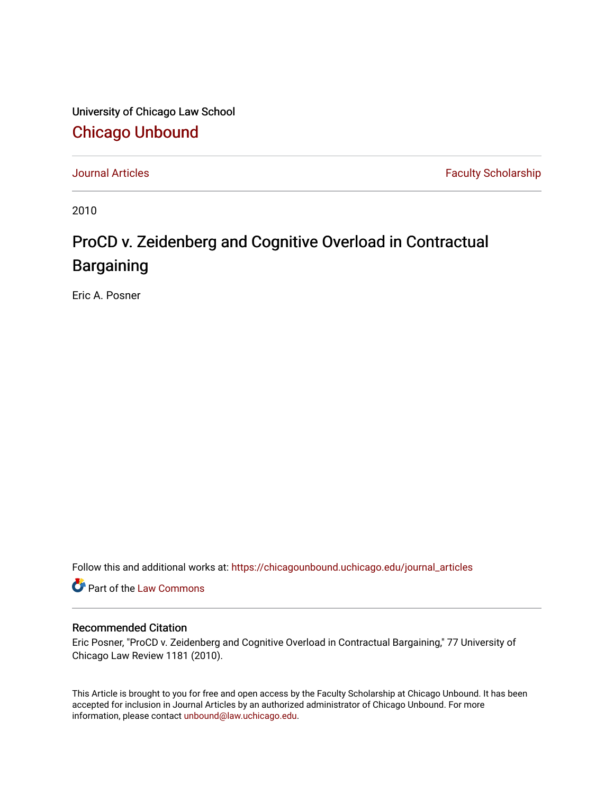University of Chicago Law School [Chicago Unbound](https://chicagounbound.uchicago.edu/)

[Journal Articles](https://chicagounbound.uchicago.edu/journal_articles) **Faculty Scholarship Faculty Scholarship** 

2010

## ProCD v. Zeidenberg and Cognitive Overload in Contractual Bargaining

Eric A. Posner

Follow this and additional works at: [https://chicagounbound.uchicago.edu/journal\\_articles](https://chicagounbound.uchicago.edu/journal_articles?utm_source=chicagounbound.uchicago.edu%2Fjournal_articles%2F1726&utm_medium=PDF&utm_campaign=PDFCoverPages) 

Part of the [Law Commons](http://network.bepress.com/hgg/discipline/578?utm_source=chicagounbound.uchicago.edu%2Fjournal_articles%2F1726&utm_medium=PDF&utm_campaign=PDFCoverPages)

## Recommended Citation

Eric Posner, "ProCD v. Zeidenberg and Cognitive Overload in Contractual Bargaining," 77 University of Chicago Law Review 1181 (2010).

This Article is brought to you for free and open access by the Faculty Scholarship at Chicago Unbound. It has been accepted for inclusion in Journal Articles by an authorized administrator of Chicago Unbound. For more information, please contact [unbound@law.uchicago.edu](mailto:unbound@law.uchicago.edu).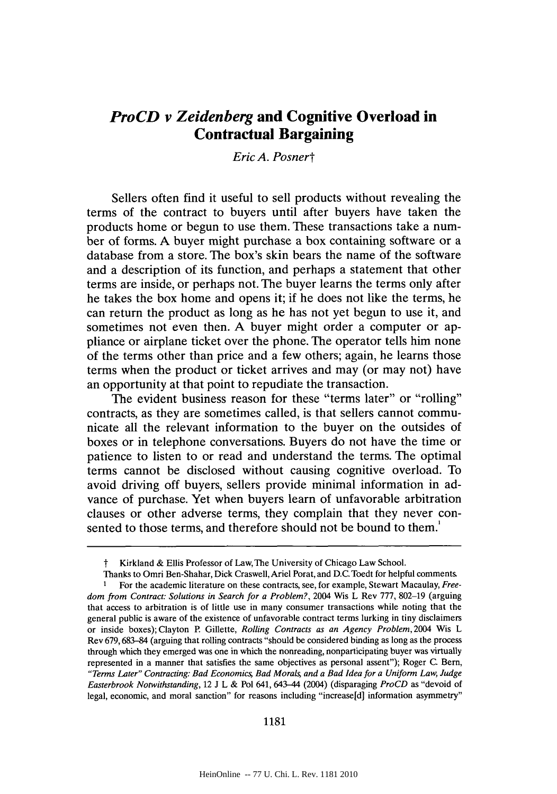## *ProCD v Zeidenberg* **and Cognitive Overload in Contractual Bargaining**

## *Eric A. Posnert*

Sellers often find it useful to sell products without revealing the terms of the contract to buyers until after buyers have taken the products home or begun to use them. These transactions take a number of forms. **A** buyer might purchase a box containing software or a database from a store. The box's skin bears the name of the software and a description of its function, and perhaps a statement that other terms are inside, or perhaps not. The buyer learns the terms only after he takes the box home and opens it; if he does not like the terms, he can return the product as long as he has not yet begun to use it, and sometimes not even then. **A** buyer might order a computer or appliance or airplane ticket over the phone. The operator tells him none of the terms other than price and a few others; again, he learns those terms when the product or ticket arrives and may (or may not) have an opportunity at that point to repudiate the transaction.

The evident business reason for these "terms later" or "rolling" contracts, as they are sometimes called, is that sellers cannot communicate all the relevant information to the buyer on the outsides of boxes or in telephone conversations. Buyers do not have the time or patience to listen to or read and understand the terms. The optimal terms cannot be disclosed without causing cognitive overload. To avoid driving off buyers, sellers provide minimal information in advance of purchase. Yet when buyers learn of unfavorable arbitration clauses or other adverse terms, they complain that they never consented to those terms, and therefore should not be bound to them.'

**1181**

t Kirkland **&** Ellis Professor of Law, The University of Chicago Law School.

Thanks to Omri Ben-Shahar, Dick Craswell, Ariel Porat, and **D.C.** Toedt for helpful comments **1** For the academic literature on these contracts, see, for example, Stewart Macaulay, *Freedom from Contract: Solutions in Search for a Problem?,* 2004 Wis L Rev **777, 802-19** (arguing that access to arbitration is of little use in many consumer transactions while noting that the general public is aware of the existence of unfavorable contract terms lurking in tiny disclaimers or inside boxes); Clayton P. Gillette, *Rolling Contracts as an Agency Problem,* 2004 Wis L Rev **679,683-84** (arguing that rolling contracts "should be considered binding as long as the process through which they emerged was one in which the nonreading, nonparticipating buyer was virtually represented in a manner that satisfies the same objectives as personal assent"); Roger **C.** Bern, *"Terms Later" Contracting: Bad Economics; Bad Morals and a Bad Idea for a Uniform Law, Judge Easterbrook Notwithstanding,* 12 **J** L **&** Pol 641, 643-44 (2004) (disparaging *ProCD* as "devoid of legal, economic, and moral sanction" for reasons including "increase[d] information asymmetry"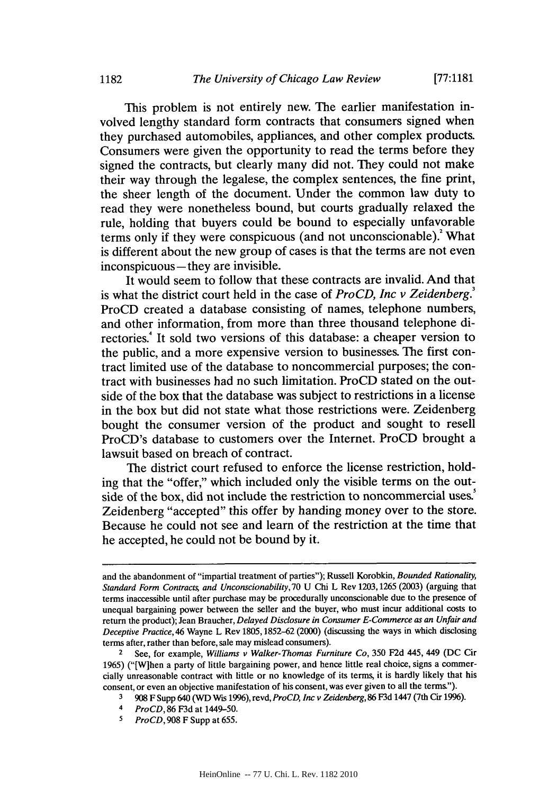This problem is not entirely new. The earlier manifestation involved lengthy standard form contracts that consumers signed when they purchased automobiles, appliances, and other complex products. Consumers were given the opportunity to read the terms before they signed the contracts, but clearly many did not. They could not make their way through the legalese, the complex sentences, the fine print, the sheer length of the document. Under the common law duty to read they were nonetheless bound, but courts gradually relaxed the rule, holding that buyers could be bound to especially unfavorable terms only if they were conspicuous (and not unconscionable).<sup>2</sup> What is different about the new group of cases is that the terms are not even inconspicuous **-** they are invisible.

It would seem to follow that these contracts are invalid. And that is what the district court held in the case of *ProCD, Inc v Zeidenberg.'* ProCD created a database consisting of names, telephone numbers, and other information, from more than three thousand telephone directories.<sup>4</sup> It sold two versions of this database: a cheaper version to the public, and a more expensive version to businesses. The first contract limited use of the database to noncommercial purposes; the contract with businesses had no such limitation. ProCD stated on the outside of the box that the database was subject to restrictions in a license in the box but did not state what those restrictions were. Zeidenberg bought the consumer version of the product and sought to resell ProCD's database to customers over the Internet. ProCD brought a lawsuit based on breach of contract.

The district court refused to enforce the license restriction, holding that the "offer," which included only the visible terms on the outside of the box, did not include the restriction to noncommercial uses. Zeidenberg "accepted" this offer **by** handing money over to the store. Because he could not see and learn of the restriction at the time that he accepted, he could not be bound **by** it.

and the abandonment of "impartial treatment of parties"); Russell Korobkin, Bounded Rationality, *Standard Form Contracts, and Unconscionability, 70 U Chi L Rev 1203, 1265 (2003) (arguing that* terms inaccessible until after purchase may be procedurally unconscionable due to the presence of unequal bargaining power between the seller and the buyer, who must incur additional costs to return the product); Jean Braucher, *Delayed* Disclosure *in Consumer E-Commerce as an Unfair and Deceptive Practice,* 46 Wayne L Rev **1805,1852-62** (2000) (discussing the ways in which disclosing terms after, rather than before, sale may mislead consumers).

<sup>2</sup>See, for example, *Williams v Walker-Thomas Furniture Co,* **350 F2d** 445, 449 **(DC** Cir **1965)** ("[W]hen a party of little bargaining power, and hence little real choice, signs a commercially unreasonable contract with little or no knowledge of its terms, it is hardly likely that his consent, or even an objective manifestation of his consent, was ever given to all the terms").

**<sup>3 908</sup>** F Supp 640 **(WD** Wis **1996),** revd, *ProCD, Inc v Zeidenberg,* **86 F3d** 1447 (7th Cir **1996).**

*<sup>4</sup> ProCD,* **86 F3d** at 1449-50.

**<sup>5</sup>***ProCD,* **908** F Supp at **655.**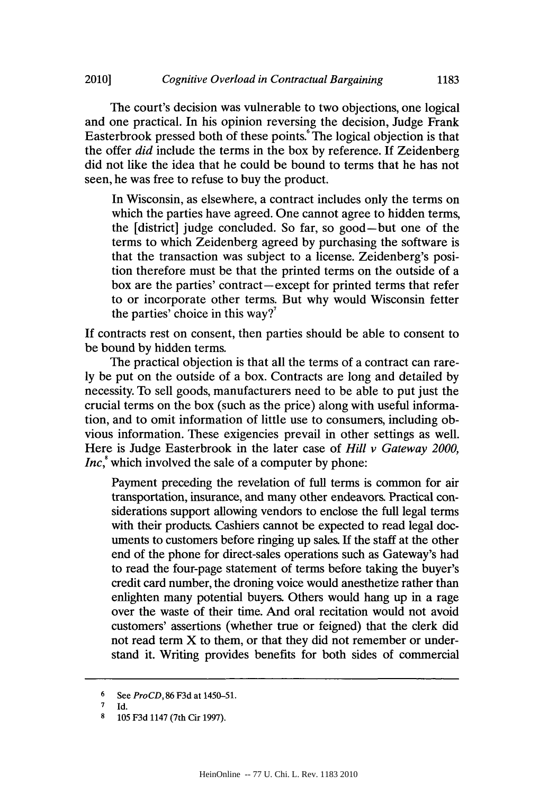The court's decision was vulnerable to two objections, one logical and one practical. In his opinion reversing the decision, Judge Frank Easterbrook pressed both of these points.<sup>6</sup> The logical objection is that the offer *did* include the terms in the box **by** reference. **If** Zeidenberg did not like the idea that he could be bound to terms that he has not seen, he was free to refuse to buy the product.

In Wisconsin, as elsewhere, a contract includes only the terms on which the parties have agreed. One cannot agree to hidden terms, the [district] judge concluded. So far, so good-but one of the terms to which Zeidenberg agreed **by** purchasing the software is that the transaction was subject to a license. Zeidenberg's position therefore must be that the printed terms on the outside of a box are the parties' contract-except for printed terms that refer to or incorporate other terms. But why would Wisconsin fetter the parties' choice in this way?'

**If** contracts rest on consent, then parties should be able to consent to be bound **by** hidden terms.

The practical objection is that all the terms of a contract can rare**ly** be put on the outside of a box. Contracts are long and detailed **by** necessity. To sell goods, manufacturers need to be able to put just the crucial terms on the box (such as the price) along with useful information, and to omit information of little use to consumers, including obvious information. These exigencies prevail in other settings as well. Here is Judge Easterbrook in the later case of *Hill v Gateway 2000, Inc,* which involved the sale of a computer **by** phone:

Payment preceding the revelation of full terms is common for air transportation, insurance, and many other endeavors. Practical considerations support allowing vendors to enclose the full legal terms with their products. Cashiers cannot be expected to read legal documents to customers before ringing up sales. **If** the staff at the other end of the phone for direct-sales operations such as Gateway's had to read the four-page statement of terms before taking the buyer's credit card number, the droning voice would anesthetize rather than enlighten many potential buyers. Others would hang up in a rage over the waste of their time. And oral recitation would not avoid customers' assertions (whether true or feigned) that the clerk did not read term X to them, or that they did not remember or understand it. Writing provides benefits for both sides of commercial

**<sup>6</sup>**See *ProCD,* **86 F3d** at 1450-51.

 $\frac{7}{8}$  Id.

**<sup>8</sup> 105 F3d** 1147 (7th Cir **1997).**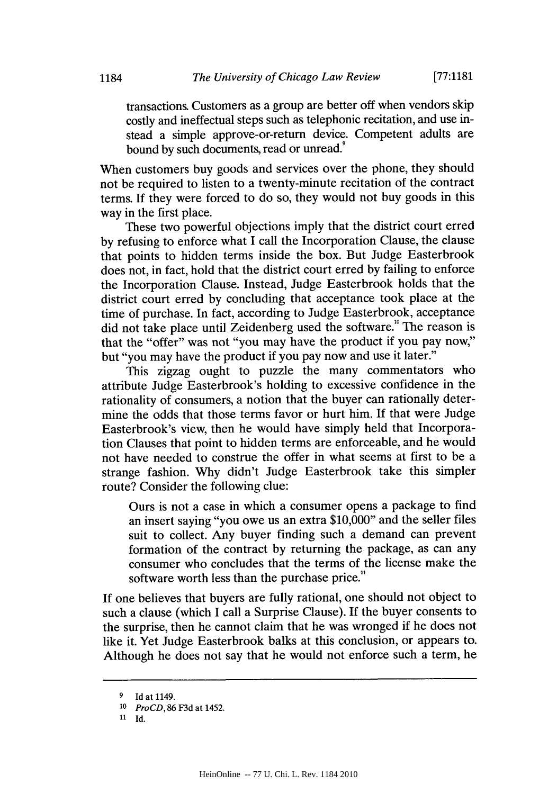transactions. Customers as a group are better off when vendors skip costly and ineffectual steps such as telephonic recitation, and use instead a simple approve-or-return device. Competent adults are bound by such documents, read or unread.<sup>9</sup>

When customers buy goods and services over the phone, they should not be required to listen to a twenty-minute recitation of the contract terms. **If** they were forced to do so, they would not buy goods in this way in the first place.

These two powerful objections imply that the district court erred **by** refusing to enforce what **I** call the Incorporation Clause, the clause that points to hidden terms inside the box. But Judge Easterbrook does not, in fact, hold that the district court erred **by** failing to enforce the Incorporation Clause. Instead, Judge Easterbrook holds that the district court erred **by** concluding that acceptance took place at the time of purchase. In fact, according to Judge Easterbrook, acceptance did not take place until Zeidenberg used the software.<sup>10</sup> The reason is that the "offer" was not "you may have the product if you pay now," but "you may have the product if you pay now and use it later."

This zigzag ought to puzzle the many commentators who attribute Judge Easterbrook's holding to excessive confidence in the rationality of consumers, a notion that the buyer can rationally determine the odds that those terms favor or hurt him. **If** that were Judge Easterbrook's view, then he would have simply held that Incorporation Clauses that point to hidden terms are enforceable, and he would not have needed to construe the offer in what seems at first to be a strange fashion. **Why** didn't Judge Easterbrook take this simpler route? Consider the following clue:

Ours is not a case in which a consumer opens a package to find an insert saying "you owe us an extra **\$10,000"** and the seller files suit to collect. Any buyer finding such a demand can prevent formation of the contract **by** returning the package, as can any consumer who concludes that the terms of the license make the software worth less than the purchase price."

**If** one believes that buyers are fully rational, one should not object to such a clause (which **I** call a Surprise Clause). **If** the buyer consents to the surprise, then he cannot claim that he was wronged if he does not like it. Yet Judge Easterbrook balks at this conclusion, or appears to. Although he does not say that he would not enforce such a term, he

**<sup>9</sup> Id** at 1149.

*<sup>10</sup> ProCD,* **86 F3d** at 1452.

**<sup>11</sup> Id.**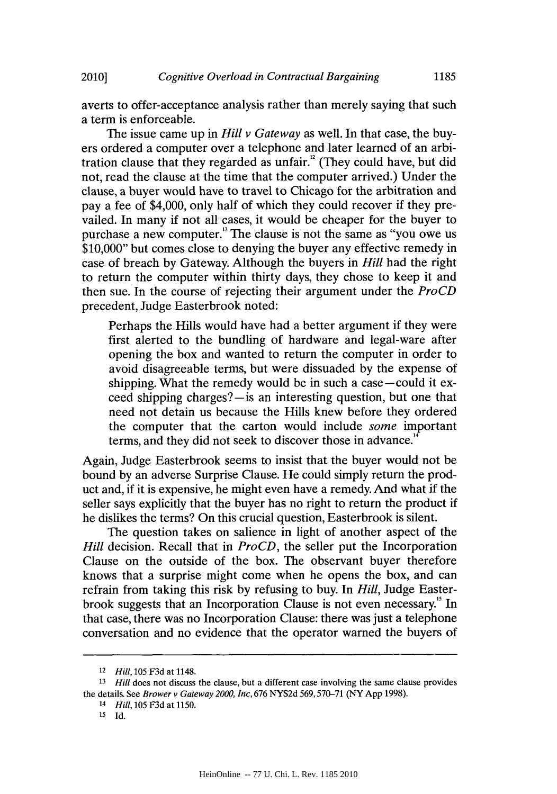averts to offer-acceptance analysis rather than merely saying that such a term is enforceable.

The issue came up in *Hill v Gateway* as well. In that case, the buyers ordered a computer over a telephone and later learned of an arbitration clause that they regarded as unfair. $^{12}$  (They could have, but did not, read the clause at the time that the computer arrived.) Under the clause, a buyer would have to travel to Chicago for the arbitration and pay a fee of \$4,000, only half of which they could recover if they prevailed. In many if not all cases, it would be cheaper for the buyer to purchase a new computer." The clause is not the same as "you owe us **\$10,000"** but comes close to denying the buyer any effective remedy in case of breach **by** Gateway. Although the buyers in *Hill* had the right to return the computer within thirty days, they chose to keep it and then sue. In the course of rejecting their argument under the *ProCD* precedent, Judge Easterbrook noted:

Perhaps the Hills would have had a better argument if they were first alerted to the bundling of hardware and legal-ware after opening the box and wanted to return the computer in order to avoid disagreeable terms, but were dissuaded **by** the expense of shipping. What the remedy would be in such a case-could it exceed shipping charges?—is an interesting question, but one that need not detain us because the Hills knew before they ordered the computer that the carton would include *some* important terms, and they did not seek to discover those in advance.<sup>1</sup>

Again, Judge Easterbrook seems to insist that the buyer would not be bound **by** an adverse Surprise Clause. He could simply return the product and, if it is expensive, he might even have a remedy. And what if the seller says explicitly that the buyer has no right to return the product if he dislikes the terms? On this crucial question, Easterbrook is silent.

The question takes on salience in light of another aspect of the *Hill* decision. Recall that in *ProCD*, the seller put the Incorporation Clause on the outside of the box. The observant buyer therefore knows that a surprise might come when he opens the box, and can refrain from taking this risk **by** refusing to buy. In *Hill,* Judge Easterbrook suggests that an Incorporation Clause is not even necessary." In that case, there was no Incorporation Clause: there was just a telephone conversation and no evidence that the operator warned the buyers of

**<sup>12</sup>***Hill, 105* **F3d** at 1148.

**<sup>13</sup>***Hill* does not discuss the clause, but a different case involving the same clause provides the details. See *Brower v Gateway 2000, Inc, 676* **NYS2d 569,570-71** (NY **App 1998).**

**<sup>14</sup>***Hill, 105* **F3d** at **1150.**

**<sup>15</sup> Id.**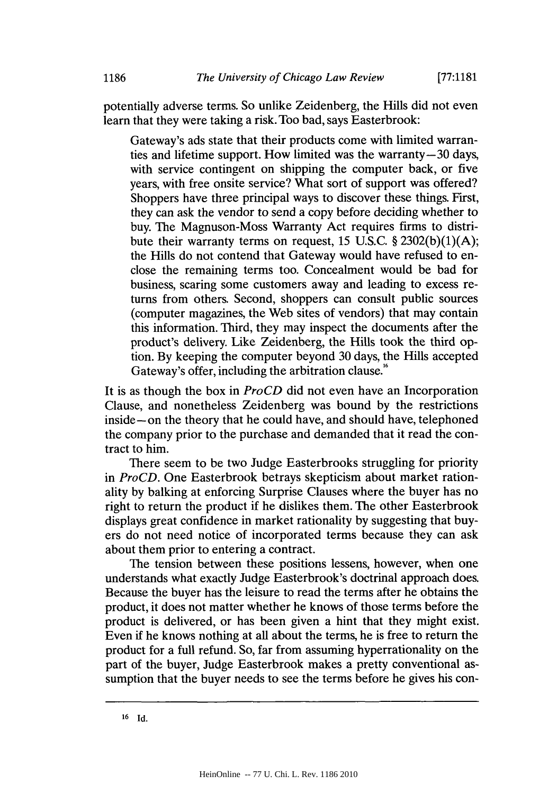potentially adverse terms. So unlike Zeidenberg, the Hills did not even learn that they were taking a risk. Too bad, says Easterbrook:

Gateway's ads state that their products come with limited warranties and lifetime support. How limited was the warranty-30 days, with service contingent on shipping the computer back, or five years, with free onsite service? What sort of support was offered? Shoppers have three principal ways to discover these things. First, they can ask the vendor to send a copy before deciding whether to buy. The Magnuson-Moss Warranty Act requires firms to distribute their warranty terms on request, **15 U.S.C. § 2302(b)(1)(A);** the Hills do not contend that Gateway would have refused to enclose the remaining terms too. Concealment would be bad for business, scaring some customers away and leading to excess returns from others. Second, shoppers can consult public sources (computer magazines, the Web sites of vendors) that may contain this information. Third, they may inspect the documents after the product's delivery. Like Zeidenberg, the Hills took the third option. **By** keeping the computer beyond **30** days, the Hills accepted Gateway's offer, including the arbitration clause.<sup>16</sup>

It is as though the box in *ProCD* did not even have an Incorporation Clause, and nonetheless Zeidenberg was bound **by** the restrictions inside-on the theory that he could have, and should have, telephoned the company prior to the purchase and demanded that it read the contract to him.

There seem to be two Judge Easterbrooks struggling for priority *in ProCD.* One Easterbrook betrays skepticism about market rationality **by** balking at enforcing Surprise Clauses where the buyer has no right to return the product if he dislikes them. The other Easterbrook displays great confidence in market rationality **by** suggesting that buyers do not need notice of incorporated terms because they can ask about them prior to entering a contract.

The tension between these positions lessens, however, when one understands what exactly Judge Easterbrook's doctrinal approach does. Because the buyer has the leisure to read the terms after he obtains the product, it does not matter whether he knows of those terms before the product is delivered, or has been given a hint that they might exist. Even if he knows nothing at all about the terms, he is free to return the product for a full refund. So, far from assuming hyperrationality on the part of the buyer, Judge Easterbrook makes a pretty conventional assumption that the buyer needs to see the terms before he gives his con-

**<sup>16</sup> Id.**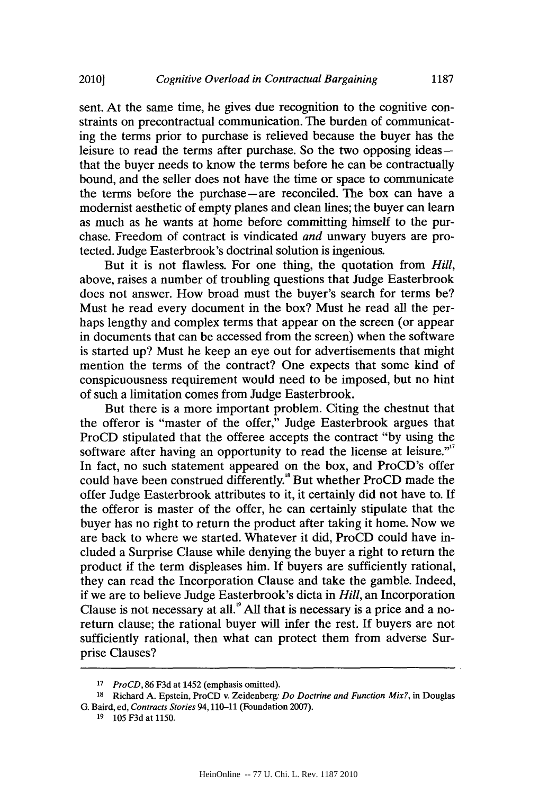sent. At the same time, he gives due recognition to the cognitive constraints on precontractual communication. The burden of communicating the terms prior to purchase is relieved because the buyer has the leisure to read the terms after purchase. So the two opposing ideasthat the buyer needs to know the terms before he can be contractually bound, and the seller does not have the time or space to communicate the terms before the purchase-are reconciled. The box can have a modernist aesthetic of empty planes and clean lines; the buyer can learn as much as he wants at home before committing himself to the purchase. Freedom of contract is vindicated *and* unwary buyers are protected. Judge Easterbrook's doctrinal solution is ingenious.

But it is not flawless. For one thing, the quotation from *Hill,* above, raises a number of troubling questions that Judge Easterbrook does not answer. How broad must the buyer's search for terms be? Must he read every document in the box? Must he read all the perhaps lengthy and complex terms that appear on the screen (or appear in documents that can be accessed from the screen) when the software is started up? Must he keep an eye out for advertisements that might mention the terms of the contract? One expects that some kind of conspicuousness requirement would need to be imposed, but no hint of such a limitation comes from Judge Easterbrook.

But there is a more important problem. Citing the chestnut that the offeror is "master of the offer," Judge Easterbrook argues that ProCD stipulated that the offeree accepts the contract **"by** using the software after having an opportunity to read the license at leisure."<sup>7</sup> In fact, no such statement appeared on the box, and ProCD's offer could have been construed differently.<sup>8</sup> But whether ProCD made the offer Judge Easterbrook attributes to it, it certainly did not have to. **If** the offeror is master of the offer, he can certainly stipulate that the buyer has no right to return the product after taking it home. Now we are back to where we started. Whatever it did, ProCD could have included a Surprise Clause while denying the buyer a right to return the product if the term displeases him. **If** buyers are sufficiently rational, they can read the Incorporation Clause and take the gamble. Indeed, if we are to believe Judge Easterbrook's dicta in *Hill,* an Incorporation Clause is not necessary at all.' **All** that is necessary is a price and a noreturn clause; the rational buyer will infer the rest. **If** buyers are not sufficiently rational, then what can protect them from adverse Surprise Clauses?

**<sup>17</sup>***Pro CD, 86* **F3d** at 1452 (emphasis omitted).

**<sup>18</sup>** Richard **A.** Epstein, ProCD v. Zeidenberg- *Do Doctrine and Function Mix?,* in Douglas **G.** Baird, ed, *Contracts Stories* **94,110-11** (Foundation **2007).**

**<sup>19</sup>105 F3d** at **1150.**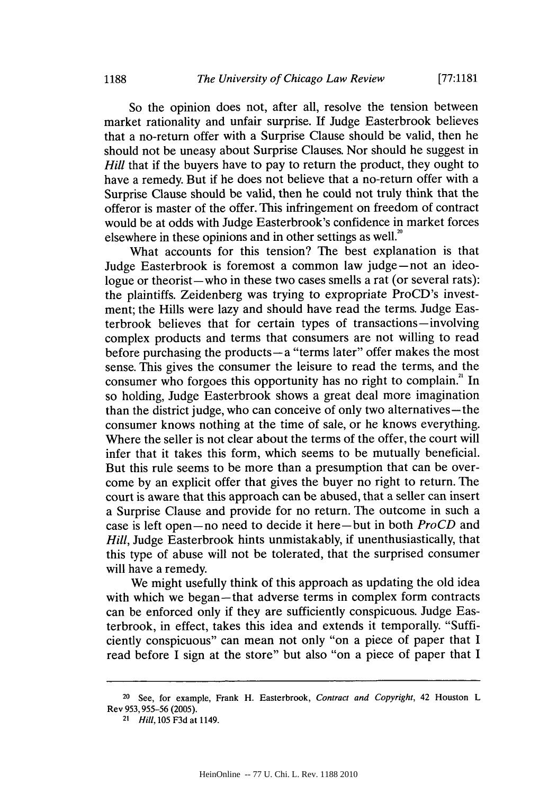So the opinion does not, after all, resolve the tension between market rationality and unfair surprise. **If** Judge Easterbrook believes that a no-return offer with a Surprise Clause should be valid, then he should not be uneasy about Surprise Clauses. Nor should he suggest in *Hill* that if the buyers have to pay to return the product, they ought to have a remedy. But if he does not believe that a no-return offer with a Surprise Clause should be valid, then he could not truly think that the offeror is master of the offer. This infringement on freedom of contract would be at odds with Judge Easterbrook's confidence in market forces elsewhere in these opinions and in other settings as well.<sup>20</sup>

What accounts for this tension? The best explanation is that Judge Easterbrook is foremost a common law judge-not an ideologue or theorist-who in these two cases smells a rat (or several rats): the plaintiffs. Zeidenberg was trying to expropriate ProCD's investment; the Hills were lazy and should have read the terms. Judge Easterbrook believes that for certain types of transactions-involving complex products and terms that consumers are not willing to read before purchasing the products $-a$  "terms later" offer makes the most sense. This gives the consumer the leisure to read the terms, and the consumer who forgoes this opportunity has no right to complain.<sup>2</sup> In so holding, Judge Easterbrook shows a great deal more imagination than the district judge, who can conceive of only two alternatives—the consumer knows nothing at the time of sale, or he knows everything. Where the seller is not clear about the terms of the offer, the court will infer that it takes this form, which seems to be mutually beneficial. But this rule seems to be more than a presumption that can be overcome **by** an explicit offer that gives the buyer no right to return. The court is aware that this approach can be abused, that a seller can insert a Surprise Clause and provide for no return. The outcome in such a case is left open-no need to decide it here-but in both *ProCD* and *Hill,* Judge Easterbrook hints unmistakably, if unenthusiastically, that this type of abuse will not be tolerated, that the surprised consumer will have a remedy.

We might usefully think of this approach as updating the old idea with which we began-that adverse terms in complex form contracts can be enforced only if they are sufficiently conspicuous. Judge Easterbrook, in effect, takes this idea and extends it temporally. "Sufficiently conspicuous" can mean not only "on a piece of paper that **I** read before **I** sign at the store" but also "on a piece of paper that I

**<sup>20</sup>**See, for example, Frank H. Easterbrook, *Contract and Copyright,* 42 Houston L Rev **953, 955-56 (2005).**

**<sup>21</sup>** *Hill,* **105 F3d** at 1149.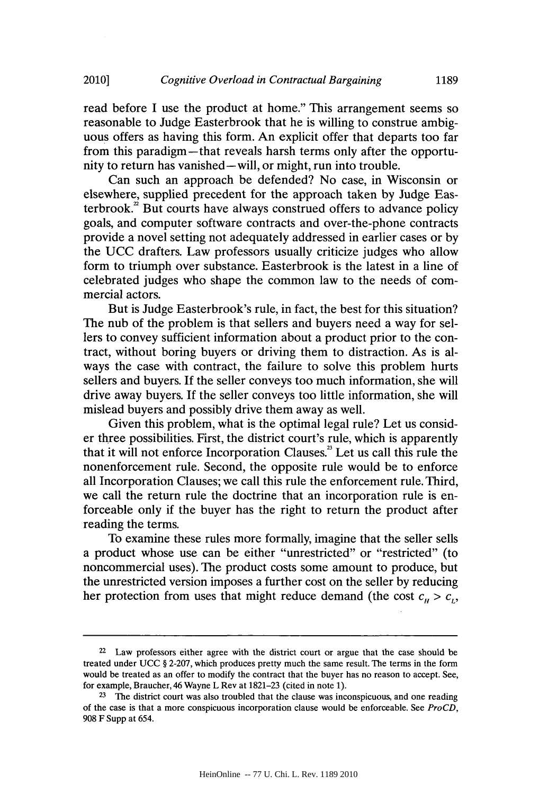read before **I** use the product at home." This arrangement seems so reasonable to Judge Easterbrook that he is willing to construe ambiguous offers as having this form. An explicit offer that departs too far from this paradigm-that reveals harsh terms only after the opportunity to return has vanished-will, or might, run into trouble.

Can such an approach be defended? No case, in Wisconsin or elsewhere, supplied precedent for the approach taken **by** Judge Easterbrook.<sup>2</sup> But courts have always construed offers to advance policy goals, and computer software contracts and over-the-phone contracts provide a novel setting not adequately addressed in earlier cases or **by** the **UCC** drafters. Law professors usually criticize judges who allow form to triumph over substance. Easterbrook is the latest in a line of celebrated judges who shape the common law to the needs of commercial actors.

But is Judge Easterbrook's rule, in fact, the best for this situation? The nub of the problem is that sellers and buyers need a way for sellers to convey sufficient information about a product prior to the contract, without boring buyers or driving them to distraction. As is always the case with contract, the failure to solve this problem hurts sellers and buyers. **If** the seller conveys too much information, she will drive away buyers. **If** the seller conveys too little information, she will mislead buyers and possibly drive them away as well.

Given this problem, what is the optimal legal rule? Let us consider three possibilities. First, the district court's rule, which is apparently that it will not enforce Incorporation Clauses.3 Let us call this rule the nonenforcement rule. Second, the opposite rule would be to enforce all Incorporation Clauses; we call this rule the enforcement rule. Third, we call the return rule the doctrine that an incorporation rule is enforceable only if the buyer has the right to return the product after reading the terms.

To examine these rules more formally, imagine that the seller sells a product whose use can be either "unrestricted" or "restricted" (to noncommercial uses). The product costs some amount to produce, but the unrestricted version imposes a further cost on the seller **by** reducing her protection from uses that might reduce demand (the cost  $c_n > c_n$ ,

**<sup>22</sup>**Law professors either agree with the district court or argue that the case should be treated under **UCC** *§* **2-207,** which produces pretty much the same result. The terms in the form would be treated as an offer to modify the contract that the buyer has no reason to accept. See, for example, Braucher, 46 Wayne L Rev at **1821-23** (cited in note **1).**

**<sup>23</sup>**The district court was also troubled that the clause was inconspicuous, and one reading of the case is that a more conspicuous incorporation clause would be enforceable. See *ProCD,* **908** F Supp at *654.*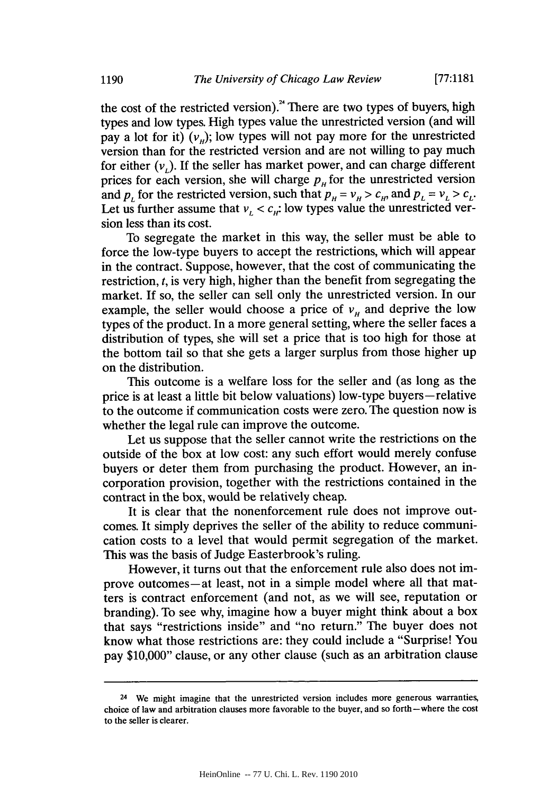the cost of the restricted version).<sup>24</sup> There are two types of buyers, high types and low types. High types value the unrestricted version (and will pay a lot for it)  $(v_n)$ ; low types will not pay more for the unrestricted version than for the restricted version and are not willing to pay much for either  $(v<sub>i</sub>)$ . If the seller has market power, and can charge different prices for each version, she will charge  $p<sub>H</sub>$  for the unrestricted version and  $p_L$  for the restricted version, such that  $p_H = v_H > c_H$ , and  $p_L = v_L > c_L$ . Let us further assume that  $v_L < c_H$ : low types value the unrestricted version less than its cost.

To segregate the market in this way, the seller must be able to force the low-type buyers to accept the restrictions, which will appear in the contract. Suppose, however, that the cost of communicating the restriction, *t,* is very high, higher than the benefit from segregating the market. If so, the seller can sell only the unrestricted version. In our example, the seller would choose a price of  $v<sub>H</sub>$  and deprive the low types of the product. In a more general setting, where the seller faces a distribution of types, she will set a price that is too high for those at the bottom tail so that she gets a larger surplus from those higher up on the distribution.

This outcome is a welfare loss for the seller and (as long as the price is at least a little bit below valuations) low-type buyers-relative to the outcome if communication costs were zero. The question now is whether the legal rule can improve the outcome.

Let us suppose that the seller cannot write the restrictions on the outside of the box at low cost: any such effort would merely confuse buyers or deter them from purchasing the product. However, an incorporation provision, together with the restrictions contained in the contract in the box, would be relatively cheap.

It is clear that the nonenforcement rule does not improve outcomes. It simply deprives the seller of the ability to reduce communication costs to a level that would permit segregation of the market. This was the basis of Judge Easterbrook's ruling.

However, it turns out that the enforcement rule also does not improve outcomes-at least, not in a simple model where all that matters is contract enforcement (and not, as we will see, reputation or branding). To see why, imagine how a buyer might think about a box that says "restrictions inside" and "no return." The buyer does not know what those restrictions are: they could include a "Surprise! You pay **\$10,000"** clause, or any other clause (such as an arbitration clause

<sup>24</sup> We might imagine that the unrestricted version includes more generous warranties, choice of law and arbitration clauses more favorable to the buyer, and so forth-where the cost to the seller is clearer.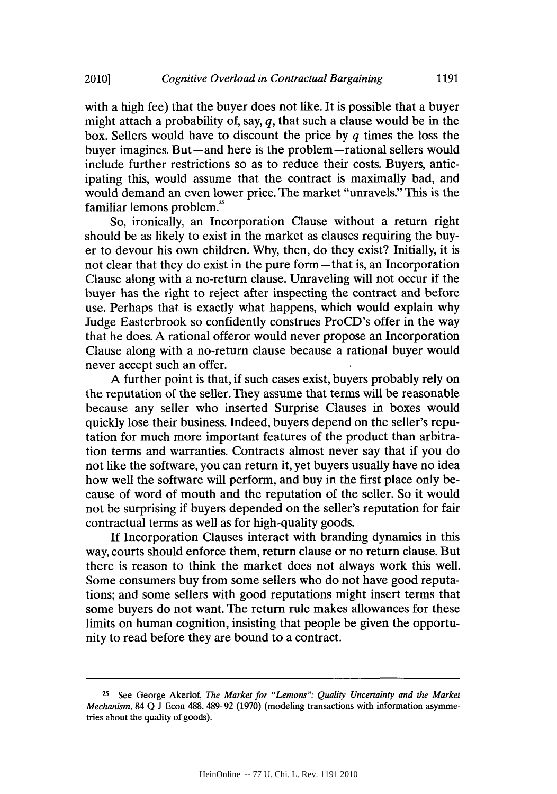with a high fee) that the buyer does not like. It is possible that a buyer might attach a probability of, say, **q,** that such a clause would be in the box. Sellers would have to discount the price **by q** times the loss the buyer imagines. But—and here is the problem—rational sellers would include further restrictions so as to reduce their costs. Buyers, anticipating this, would assume that the contract is maximally bad, and would demand an even lower price. The market "unravels." This is the familiar lemons problem.<sup>25</sup>

So, ironically, an Incorporation Clause without a return right should be as likely to exist in the market as clauses requiring the buyer to devour his own children. **Why,** then, do they exist? Initially, it is not clear that they do exist in the pure form—that is, an Incorporation Clause along with a no-return clause. Unraveling will not occur if the buyer has the right to reject after inspecting the contract and before use. Perhaps that is exactly what happens, which would explain why Judge Easterbrook so confidently construes ProCD's offer in the way that he does. **A** rational offeror would never propose an Incorporation Clause along with a no-return clause because a rational buyer would never accept such an offer.

**A** further point is that, if such cases exist, buyers probably rely on the reputation of the seller. They assume that terms will be reasonable because any seller who inserted Surprise Clauses in boxes would quickly lose their business. Indeed, buyers depend on the seller's reputation for much more important features of the product than arbitration terms and warranties. Contracts almost never say that if you do not like the software, you can return it, yet buyers usually have no idea how well the software will perform, and buy in the first place only because of word of mouth and the reputation of the seller. So it would not be surprising if buyers depended on the seller's reputation for fair contractual terms as well as for high-quality goods.

**If** Incorporation Clauses interact with branding dynamics in this way, courts should enforce them, return clause or no return clause. But there is reason to think the market does not always work this well. Some consumers buy from some sellers who do not have good reputations; and some sellers with good reputations might insert terms that some buyers do not want. The return rule makes allowances for these limits on human cognition, insisting that people be given the opportunity to read before they are bound to a contract.

<sup>&</sup>lt;sup>25</sup> See George Akerlof, *The Market for "Lemons": Quality Uncertainty and the Market Mechanism,* 84 **Q J** Econ **488,** 489-92 **(1970)** (modeling transactions with information asymmetries about the quality of goods).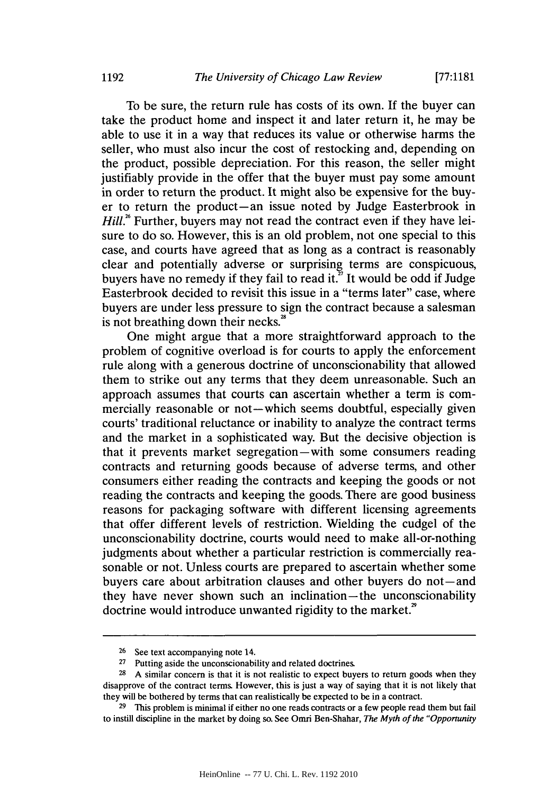To be sure, the return rule has costs of its own. **If** the buyer can take the product home and inspect it and later return it, he may be able to use it in a way that reduces its value or otherwise harms the seller, who must also incur the cost of restocking and, depending on the product, possible depreciation. For this reason, the seller might justifiably provide in the offer that the buyer must pay some amount in order to return the product. It might also be expensive for the buyer to return the product-an issue noted **by** Judge Easterbrook in *Hill.*<sup>8</sup> Further, buyers may not read the contract even if they have leisure to do so. However, this is an old problem, not one special to this case, and courts have agreed that as long as a contract is reasonably clear and potentially adverse or surprising terms are conspicuous, buyers have no remedy if they fail to read it.<sup> $\overline{2}$ </sup> It would be odd if Judge Easterbrook decided to revisit this issue in a "terms later" case, where buyers are under less pressure to sign the contract because a salesman is not breathing down their necks.<sup>28</sup>

One might argue that a more straightforward approach to the problem of cognitive overload is for courts to apply the enforcement rule along with a generous doctrine of unconscionability that allowed them to strike out any terms that they deem unreasonable. Such an approach assumes that courts can ascertain whether a term is commercially reasonable or not-which seems doubtful, especially given courts' traditional reluctance or inability to analyze the contract terms and the market in a sophisticated way. But the decisive objection is that it prevents market segregation—with some consumers reading contracts and returning goods because of adverse terms, and other consumers either reading the contracts and keeping the goods or not reading the contracts and keeping the goods. There are good business reasons for packaging software with different licensing agreements that offer different levels of restriction. Wielding the cudgel of the unconscionability doctrine, courts would need to make all-or-nothing judgments about whether a particular restriction is commercially reasonable or not. Unless courts are prepared to ascertain whether some buyers care about arbitration clauses and other buyers do not—and they have never shown such an inclination-the unconscionability doctrine would introduce unwanted rigidity to the market.<sup>29</sup>

<sup>&</sup>lt;sup>26</sup> See text accompanying note 14.<br><sup>27</sup> Putting aside the unconscionabi

Putting aside the unconscionability and related doctrines.

**<sup>28</sup> A** similar concern is that it is not realistic to expect buyers to return goods when they disapprove of the contract terms. However, this is just a way of saying that it is not likely that they will be bothered **by** terms that can realistically be expected to be in a contract.

**<sup>29</sup>**This problem is minimal if either no one reads contracts or a few people read them but fail to instill discipline in the market **by** doing so. See Omri Ben-Shahar, *The Myth of the "Opportunity*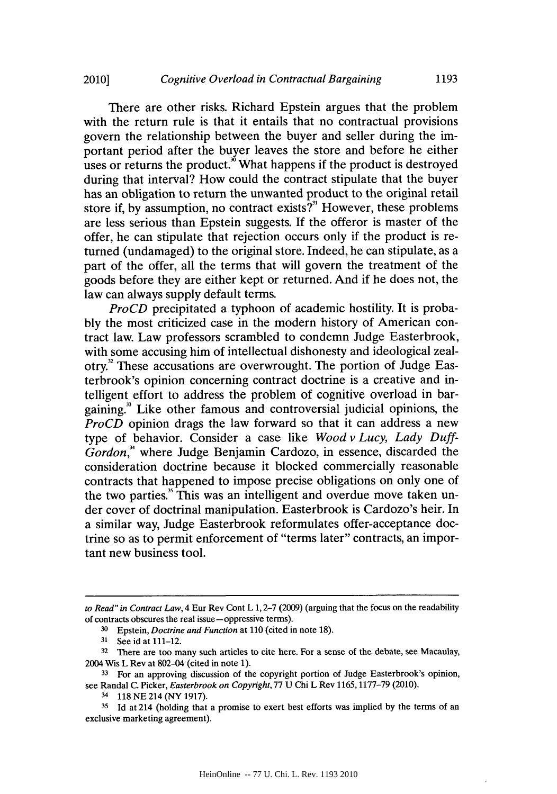There are other risks. Richard Epstein argues that the problem with the return rule is that it entails that no contractual provisions govern the relationship between the buyer and seller during the important period after the buyer leaves the store and before he either uses or returns the product.<sup>36</sup> What happens if the product is destroyed during that interval? How could the contract stipulate that the buyer has an obligation to return the unwanted product to the original retail store if, **by** assumption, no contract exists?" However, these problems are less serious than Epstein suggests. **If** the offeror is master of the offer, he can stipulate that rejection occurs only if the product is returned (undamaged) to the original store. Indeed, he can stipulate, as a part of the offer, all the terms that will govern the treatment of the goods before they are either kept or returned. And if he does not, the law can always supply default terms.

*ProCD* precipitated a typhoon of academic hostility. It is proba**bly** the most criticized case in the modern history of American contract law. Law professors scrambled to condemn Judge Easterbrook, with some accusing him of intellectual dishonesty and ideological zealotry.<sup>32</sup> These accusations are overwrought. The portion of Judge Easterbrook's opinion concerning contract doctrine is a creative and intelligent effort to address the problem of cognitive overload in bargaining." Like other famous and controversial judicial opinions, the *ProCD* opinion drags the law forward so that it can address a new type of behavior. Consider a case like *Wood v Lucy, Lady Duff-*Gordon,<sup>\*</sup> where Judge Benjamin Cardozo, in essence, discarded the consideration doctrine because it blocked commercially reasonable contracts that happened to impose precise obligations on only one of the two parties.<sup>3</sup> This was an intelligent and overdue move taken under cover of doctrinal manipulation. Easterbrook is Cardozo's heir. In a similar way, Judge Easterbrook reformulates offer-acceptance doctrine so as to permit enforcement of "terms later" contracts, an important new business tool.

*to Read" in Contract Law,* 4 Eur Rev Cont L **1, 2-7 (2009)** (arguing that the focus on the readability of contracts obscures the real issue -oppressive terms).

**<sup>30</sup>**Epstein, *Doctrine and Function at* **110** (cited in note **18).**

**<sup>31</sup>**See id at 111-12.

**<sup>32</sup>**There are too many such articles to cite here. For a sense of the debate, see Macaulay, 2004 Wis L Rev at 802-04 (cited in note **1).**

<sup>&</sup>lt;sup>33</sup> For an approving discussion of the copyright portion of Judge Easterbrook's opinion, see Randal **C.** Picker, *Easterbrook on Copyright,* **77 U** Chi L Rev **1165,1177-79** (2010).

<sup>3</sup>**118 NE** 214 (NY **1917).**

**<sup>35</sup> Id** at 214 (holding that a promise to exert best efforts was implied **by** the terms of an exclusive marketing agreement).